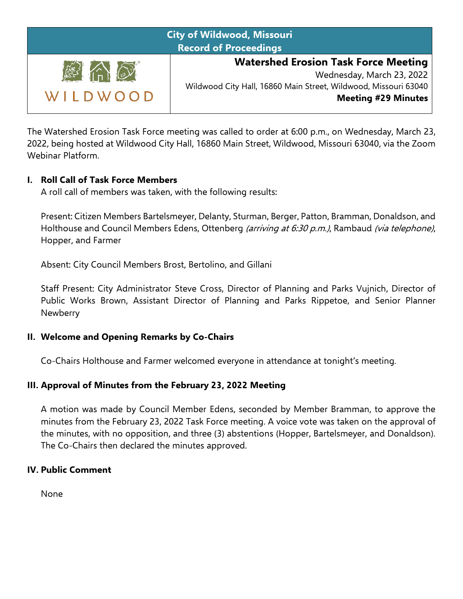| <b>City of Wildwood, Missouri</b><br><b>Record of Proceedings</b> |                                                                                                                                                                           |
|-------------------------------------------------------------------|---------------------------------------------------------------------------------------------------------------------------------------------------------------------------|
| <b>AAO</b><br>WILDWOOD                                            | <b>Watershed Erosion Task Force Meeting</b><br>Wednesday, March 23, 2022<br>Wildwood City Hall, 16860 Main Street, Wildwood, Missouri 63040<br><b>Meeting #29 Minutes</b> |

The Watershed Erosion Task Force meeting was called to order at 6:00 p.m., on Wednesday, March 23, 2022, being hosted at Wildwood City Hall, 16860 Main Street, Wildwood, Missouri 63040, via the Zoom Webinar Platform.

### **I. Roll Call of Task Force Members**

A roll call of members was taken, with the following results:

Present: Citizen Members Bartelsmeyer, Delanty, Sturman, Berger, Patton, Bramman, Donaldson, and Holthouse and Council Members Edens, Ottenberg (arriving at 6:30 p.m.), Rambaud (via telephone), Hopper, and Farmer

Absent: City Council Members Brost, Bertolino, and Gillani

Staff Present: City Administrator Steve Cross, Director of Planning and Parks Vujnich, Director of Public Works Brown, Assistant Director of Planning and Parks Rippetoe, and Senior Planner **Newberry** 

#### **II. Welcome and Opening Remarks by Co-Chairs**

Co-Chairs Holthouse and Farmer welcomed everyone in attendance at tonight's meeting.

### **III. Approval of Minutes from the February 23, 2022 Meeting**

A motion was made by Council Member Edens, seconded by Member Bramman, to approve the minutes from the February 23, 2022 Task Force meeting. A voice vote was taken on the approval of the minutes, with no opposition, and three (3) abstentions (Hopper, Bartelsmeyer, and Donaldson). The Co-Chairs then declared the minutes approved.

#### **IV. Public Comment**

None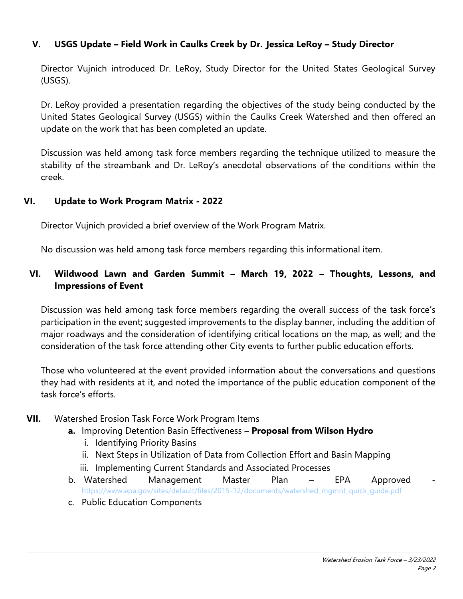## **V. USGS Update – Field Work in Caulks Creek by Dr. Jessica LeRoy – Study Director**

Director Vujnich introduced Dr. LeRoy, Study Director for the United States Geological Survey (USGS).

Dr. LeRoy provided a presentation regarding the objectives of the study being conducted by the United States Geological Survey (USGS) within the Caulks Creek Watershed and then offered an update on the work that has been completed an update.

Discussion was held among task force members regarding the technique utilized to measure the stability of the streambank and Dr. LeRoy's anecdotal observations of the conditions within the creek.

#### **VI. Update to Work Program Matrix - 2022**

Director Vujnich provided a brief overview of the Work Program Matrix.

No discussion was held among task force members regarding this informational item.

## **VI. Wildwood Lawn and Garden Summit – March 19, 2022 – Thoughts, Lessons, and Impressions of Event**

Discussion was held among task force members regarding the overall success of the task force's participation in the event; suggested improvements to the display banner, including the addition of major roadways and the consideration of identifying critical locations on the map, as well; and the consideration of the task force attending other City events to further public education efforts.

Those who volunteered at the event provided information about the conversations and questions they had with residents at it, and noted the importance of the public education component of the task force's efforts.

### **VII.** Watershed Erosion Task Force Work Program Items

- **a.** Improving Detention Basin Effectiveness **Proposal from Wilson Hydro**
	- i. Identifying Priority Basins
	- ii. Next Steps in Utilization of Data from Collection Effort and Basin Mapping
	- iii. Implementing Current Standards and Associated Processes
- b. Watershed Management Master Plan EPA Approved [https://www.epa.gov/sites/default/files/2015-12/documents/watershed\\_mgmnt\\_quick\\_guide.pdf](https://www.epa.gov/sites/default/files/2015-12/documents/watershed_mgmnt_quick_guide.pdf)
- c. Public Education Components